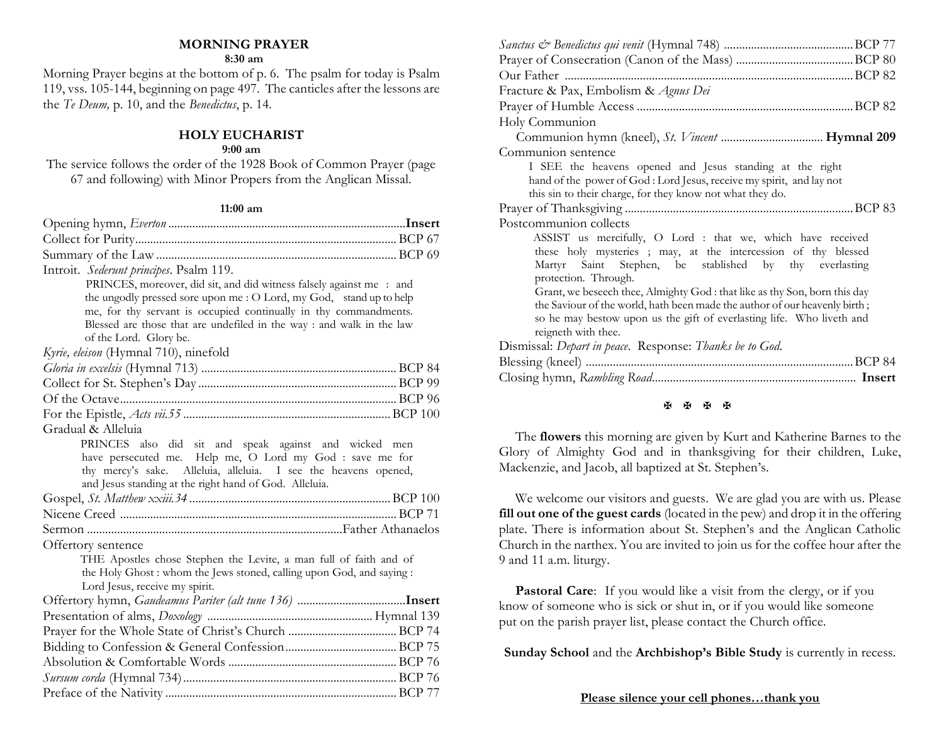## **MORNING PRAYER**

#### **8:30 am**

Morning Prayer begins at the bottom of p. 6. The psalm for today is Psalm 119, vss. 105-144, beginning on page 497. The canticles after the lessons are the *Te Deum,* p. 10, and the *Benedictus*, p. 14.

### **HOLY EUCHARIST**

#### **9:00 am**

The service follows the order of the 1928 Book of Common Prayer (page 67 and following) with Minor Propers from the Anglican Missal.

#### **11:00 am**

| Introit. Sederunt principes. Psalm 119.                                                                                     |  |
|-----------------------------------------------------------------------------------------------------------------------------|--|
| PRINCES, moreover, did sit, and did witness falsely against me : and                                                        |  |
| the ungodly pressed sore upon me : O Lord, my God, stand up to help                                                         |  |
| me, for thy servant is occupied continually in thy commandments.                                                            |  |
| Blessed are those that are undefiled in the way : and walk in the law                                                       |  |
| of the Lord. Glory be.                                                                                                      |  |
| Kyrie, eleison (Hymnal 710), ninefold                                                                                       |  |
|                                                                                                                             |  |
|                                                                                                                             |  |
|                                                                                                                             |  |
|                                                                                                                             |  |
| Gradual & Alleluia                                                                                                          |  |
| PRINCES also did sit and speak against and wicked men                                                                       |  |
| have persecuted me. Help me, O Lord my God : save me for<br>thy mercy's sake. Alleluia, alleluia. I see the heavens opened, |  |
| and Jesus standing at the right hand of God. Alleluia.                                                                      |  |
|                                                                                                                             |  |
|                                                                                                                             |  |
|                                                                                                                             |  |
| Offertory sentence                                                                                                          |  |
| THE Apostles chose Stephen the Levite, a man full of faith and of                                                           |  |
| the Holy Ghost : whom the Jews stoned, calling upon God, and saying :                                                       |  |
| Lord Jesus, receive my spirit.                                                                                              |  |
|                                                                                                                             |  |
|                                                                                                                             |  |
|                                                                                                                             |  |
|                                                                                                                             |  |
|                                                                                                                             |  |
|                                                                                                                             |  |
|                                                                                                                             |  |
|                                                                                                                             |  |

| Fracture & Pax, Embolism & Agnus Dei                                       |
|----------------------------------------------------------------------------|
|                                                                            |
| Holy Communion                                                             |
|                                                                            |
| Communion sentence                                                         |
| I SEE the heavens opened and Jesus standing at the right                   |
| hand of the power of God : Lord Jesus, receive my spirit, and lay not      |
| this sin to their charge, for they know not what they do.                  |
|                                                                            |
| Postcommunion collects                                                     |
| ASSIST us mercifully, O Lord : that we, which have received                |
| these holy mysteries ; may, at the intercession of thy blessed             |
| Martyr Saint Stephen, be stablished by thy everlasting                     |
| protection. Through.                                                       |
| Grant, we beseech thee, Almighty God : that like as thy Son, born this day |
| the Saviour of the world, hath been made the author of our heavenly birth; |
| so he may bestow upon us the gift of everlasting life. Who liveth and      |
| reigneth with thee.                                                        |
| Dismissal: Depart in peace. Response: Thanks be to God.                    |
| Blessing (kneel)                                                           |
|                                                                            |
|                                                                            |

#### **K K K K**

The **flowers** this morning are given by Kurt and Katherine Barnes to the Glory of Almighty God and in thanksgiving for their children, Luke, Mackenzie, and Jacob, all baptized at St. Stephen's.

We welcome our visitors and guests. We are glad you are with us. Please **fill out one of the guest cards** (located in the pew) and drop it in the offering plate. There is information about St. Stephen's and the Anglican Catholic Church in the narthex. You are invited to join us for the coffee hour after the 9 and 11 a.m. liturgy.

**Pastoral Care:** If you would like a visit from the clergy, or if you know of someone who is sick or shut in, or if you would like someone put on the parish prayer list, please contact the Church office.

**Sunday School** and the **Archbishop's Bible Study** is currently in recess.

#### **Please silence your cell phones…thank you**